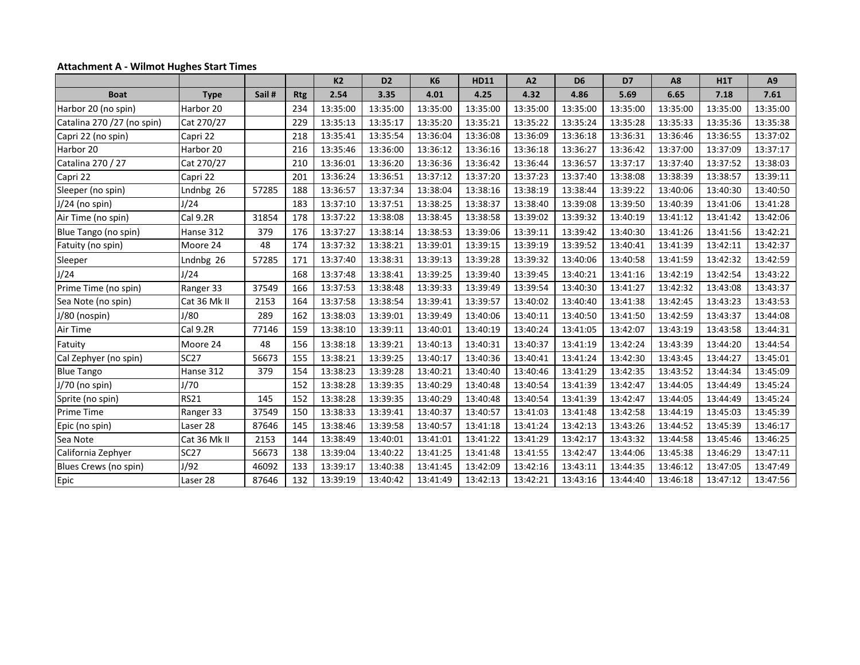## **Attachment A - Wilmot Hughes Start Times**

|                             |              |       |            | K <sub>2</sub> | D <sub>2</sub> | <b>K6</b> | <b>HD11</b> | A2       | D <sub>6</sub> | D7       | A8       | <b>H1T</b> | A <sub>9</sub> |
|-----------------------------|--------------|-------|------------|----------------|----------------|-----------|-------------|----------|----------------|----------|----------|------------|----------------|
| <b>Boat</b>                 | <b>Type</b>  | Sail# | <b>Rtg</b> | 2.54           | 3.35           | 4.01      | 4.25        | 4.32     | 4.86           | 5.69     | 6.65     | 7.18       | 7.61           |
| Harbor 20 (no spin)         | Harbor 20    |       | 234        | 13:35:00       | 13:35:00       | 13:35:00  | 13:35:00    | 13:35:00 | 13:35:00       | 13:35:00 | 13:35:00 | 13:35:00   | 13:35:00       |
| Catalina 270 / 27 (no spin) | Cat 270/27   |       | 229        | 13:35:13       | 13:35:17       | 13:35:20  | 13:35:21    | 13:35:22 | 13:35:24       | 13:35:28 | 13:35:33 | 13:35:36   | 13:35:38       |
| Capri 22 (no spin)          | Capri 22     |       | 218        | 13:35:41       | 13:35:54       | 13:36:04  | 13:36:08    | 13:36:09 | 13:36:18       | 13:36:31 | 13:36:46 | 13:36:55   | 13:37:02       |
| Harbor 20                   | Harbor 20    |       | 216        | 13:35:46       | 13:36:00       | 13:36:12  | 13:36:16    | 13:36:18 | 13:36:27       | 13:36:42 | 13:37:00 | 13:37:09   | 13:37:17       |
| Catalina 270 / 27           | Cat 270/27   |       | 210        | 13:36:01       | 13:36:20       | 13:36:36  | 13:36:42    | 13:36:44 | 13:36:57       | 13:37:17 | 13:37:40 | 13:37:52   | 13:38:03       |
| Capri 22                    | Capri 22     |       | 201        | 13:36:24       | 13:36:51       | 13:37:12  | 13:37:20    | 13:37:23 | 13:37:40       | 13:38:08 | 13:38:39 | 13:38:57   | 13:39:11       |
| Sleeper (no spin)           | Lndnbg 26    | 57285 | 188        | 13:36:57       | 13:37:34       | 13:38:04  | 13:38:16    | 13:38:19 | 13:38:44       | 13:39:22 | 13:40:06 | 13:40:30   | 13:40:50       |
| $J/24$ (no spin)            | J/24         |       | 183        | 13:37:10       | 13:37:51       | 13:38:25  | 13:38:37    | 13:38:40 | 13:39:08       | 13:39:50 | 13:40:39 | 13:41:06   | 13:41:28       |
| Air Time (no spin)          | Cal 9.2R     | 31854 | 178        | 13:37:22       | 13:38:08       | 13:38:45  | 13:38:58    | 13:39:02 | 13:39:32       | 13:40:19 | 13:41:12 | 13:41:42   | 13:42:06       |
| Blue Tango (no spin)        | Hanse 312    | 379   | 176        | 13:37:27       | 13:38:14       | 13:38:53  | 13:39:06    | 13:39:11 | 13:39:42       | 13:40:30 | 13:41:26 | 13:41:56   | 13:42:21       |
| Fatuity (no spin)           | Moore 24     | 48    | 174        | 13:37:32       | 13:38:21       | 13:39:01  | 13:39:15    | 13:39:19 | 13:39:52       | 13:40:41 | 13:41:39 | 13:42:11   | 13:42:37       |
| Sleeper                     | Lndnbg 26    | 57285 | 171        | 13:37:40       | 13:38:31       | 13:39:13  | 13:39:28    | 13:39:32 | 13:40:06       | 13:40:58 | 13:41:59 | 13:42:32   | 13:42:59       |
| J/24                        | J/24         |       | 168        | 13:37:48       | 13:38:41       | 13:39:25  | 13:39:40    | 13:39:45 | 13:40:21       | 13:41:16 | 13:42:19 | 13:42:54   | 13:43:22       |
| Prime Time (no spin)        | Ranger 33    | 37549 | 166        | 13:37:53       | 13:38:48       | 13:39:33  | 13:39:49    | 13:39:54 | 13:40:30       | 13:41:27 | 13:42:32 | 13:43:08   | 13:43:37       |
| Sea Note (no spin)          | Cat 36 Mk II | 2153  | 164        | 13:37:58       | 13:38:54       | 13:39:41  | 13:39:57    | 13:40:02 | 13:40:40       | 13:41:38 | 13:42:45 | 13:43:23   | 13:43:53       |
| J/80 (nospin)               | J/80         | 289   | 162        | 13:38:03       | 13:39:01       | 13:39:49  | 13:40:06    | 13:40:11 | 13:40:50       | 13:41:50 | 13:42:59 | 13:43:37   | 13:44:08       |
| Air Time                    | Cal 9.2R     | 77146 | 159        | 13:38:10       | 13:39:11       | 13:40:01  | 13:40:19    | 13:40:24 | 13:41:05       | 13:42:07 | 13:43:19 | 13:43:58   | 13:44:31       |
| Fatuity                     | Moore 24     | 48    | 156        | 13:38:18       | 13:39:21       | 13:40:13  | 13:40:31    | 13:40:37 | 13:41:19       | 13:42:24 | 13:43:39 | 13:44:20   | 13:44:54       |
| Cal Zephyer (no spin)       | <b>SC27</b>  | 56673 | 155        | 13:38:21       | 13:39:25       | 13:40:17  | 13:40:36    | 13:40:41 | 13:41:24       | 13:42:30 | 13:43:45 | 13:44:27   | 13:45:01       |
| <b>Blue Tango</b>           | Hanse 312    | 379   | 154        | 13:38:23       | 13:39:28       | 13:40:21  | 13:40:40    | 13:40:46 | 13:41:29       | 13:42:35 | 13:43:52 | 13:44:34   | 13:45:09       |
| J/70 (no spin)              | J/70         |       | 152        | 13:38:28       | 13:39:35       | 13:40:29  | 13:40:48    | 13:40:54 | 13:41:39       | 13:42:47 | 13:44:05 | 13:44:49   | 13:45:24       |
| Sprite (no spin)            | <b>RS21</b>  | 145   | 152        | 13:38:28       | 13:39:35       | 13:40:29  | 13:40:48    | 13:40:54 | 13:41:39       | 13:42:47 | 13:44:05 | 13:44:49   | 13:45:24       |
| Prime Time                  | Ranger 33    | 37549 | 150        | 13:38:33       | 13:39:41       | 13:40:37  | 13:40:57    | 13:41:03 | 13:41:48       | 13:42:58 | 13:44:19 | 13:45:03   | 13:45:39       |
| Epic (no spin)              | Laser 28     | 87646 | 145        | 13:38:46       | 13:39:58       | 13:40:57  | 13:41:18    | 13:41:24 | 13:42:13       | 13:43:26 | 13:44:52 | 13:45:39   | 13:46:17       |
| Sea Note                    | Cat 36 Mk II | 2153  | 144        | 13:38:49       | 13:40:01       | 13:41:01  | 13:41:22    | 13:41:29 | 13:42:17       | 13:43:32 | 13:44:58 | 13:45:46   | 13:46:25       |
| California Zephyer          | <b>SC27</b>  | 56673 | 138        | 13:39:04       | 13:40:22       | 13:41:25  | 13:41:48    | 13:41:55 | 13:42:47       | 13:44:06 | 13:45:38 | 13:46:29   | 13:47:11       |
| Blues Crews (no spin)       | J/92         | 46092 | 133        | 13:39:17       | 13:40:38       | 13:41:45  | 13:42:09    | 13:42:16 | 13:43:11       | 13:44:35 | 13:46:12 | 13:47:05   | 13:47:49       |
| Epic                        | Laser 28     | 87646 | 132        | 13:39:19       | 13:40:42       | 13:41:49  | 13:42:13    | 13:42:21 | 13:43:16       | 13:44:40 | 13:46:18 | 13:47:12   | 13:47:56       |